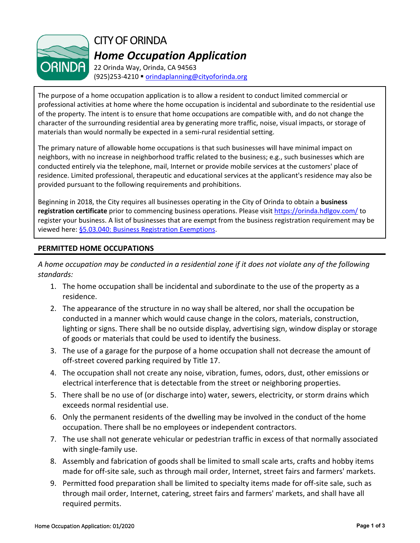

CITY OF ORINDA *Home Occupation Application*

22 Orinda Way, Orinda, CA 94563 (925)253-4210 [orindaplanning@cityoforinda.org](mailto:orindaplanning@cityoforinda.org)

The purpose of a home occupation application is to allow a resident to conduct limited commercial or professional activities at home where the home occupation is incidental and subordinate to the residential use of the property. The intent is to ensure that home occupations are compatible with, and do not change the character of the surrounding residential area by generating more traffic, noise, visual impacts, or storage of materials than would normally be expected in a semi-rural residential setting.

The primary nature of allowable home occupations is that such businesses will have minimal impact on neighbors, with no increase in neighborhood traffic related to the business; e.g., such businesses which are conducted entirely via the telephone, mail, Internet or provide mobile services at the customers' place of residence. Limited professional, therapeutic and educational services at the applicant's residence may also be provided pursuant to the following requirements and prohibitions.

Beginning in 2018, the City requires all businesses operating in the City of Orinda to obtain a **business registration certificate** prior to commencing business operations. Please visit <https://orinda.hdlgov.com/> to register your business. A list of businesses that are exempt from the business registration requirement may be viewed here: [§5.03.040: Business Registration Exemptions.](https://library.municode.com/ca/orinda/codes/code_of_ordinances?nodeId=TIT5BULIRE_CH5.03BURE_5.03.040EX)

## **PERMITTED HOME OCCUPATIONS**

*A home occupation may be conducted in a residential zone if it does not violate any of the following standards:*

- 1. The home occupation shall be incidental and subordinate to the use of the property as a residence.
- 2. The appearance of the structure in no way shall be altered, nor shall the occupation be conducted in a manner which would cause change in the colors, materials, construction, lighting or signs. There shall be no outside display, advertising sign, window display or storage of goods or materials that could be used to identify the business.
- 3. The use of a garage for the purpose of a home occupation shall not decrease the amount of off-street covered parking required by Title 17.
- 4. The occupation shall not create any noise, vibration, fumes, odors, dust, other emissions or electrical interference that is detectable from the street or neighboring properties.
- 5. There shall be no use of (or discharge into) water, sewers, electricity, or storm drains which exceeds normal residential use.
- 6. Only the permanent residents of the dwelling may be involved in the conduct of the home occupation. There shall be no employees or independent contractors.
- 7. The use shall not generate vehicular or pedestrian traffic in excess of that normally associated with single-family use.
- 8. Assembly and fabrication of goods shall be limited to small scale arts, crafts and hobby items made for off-site sale, such as through mail order, Internet, street fairs and farmers' markets.
- 9. Permitted food preparation shall be limited to specialty items made for off-site sale, such as through mail order, Internet, catering, street fairs and farmers' markets, and shall have all required permits.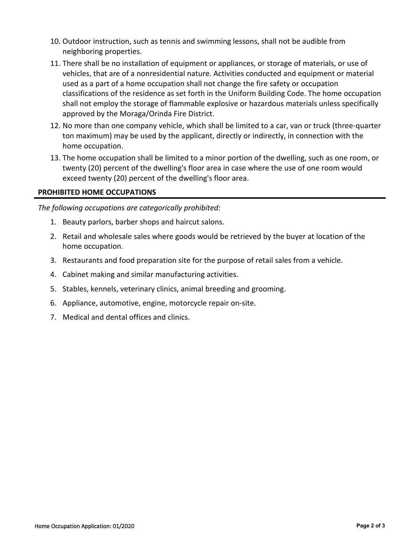- 10. Outdoor instruction, such as tennis and swimming lessons, shall not be audible from neighboring properties.
- 11. There shall be no installation of equipment or appliances, or storage of materials, or use of vehicles, that are of a nonresidential nature. Activities conducted and equipment or material used as a part of a home occupation shall not change the fire safety or occupation classifications of the residence as set forth in the Uniform Building Code. The home occupation shall not employ the storage of flammable explosive or hazardous materials unless specifically approved by the Moraga/Orinda Fire District.
- 12. No more than one company vehicle, which shall be limited to a car, van or truck (three-quarter ton maximum) may be used by the applicant, directly or indirectly, in connection with the home occupation.
- 13. The home occupation shall be limited to a minor portion of the dwelling, such as one room, or twenty (20) percent of the dwelling's floor area in case where the use of one room would exceed twenty (20) percent of the dwelling's floor area.

## **PROHIBITED HOME OCCUPATIONS**

*The following occupations are categorically prohibited:*

- 1. Beauty parlors, barber shops and haircut salons.
- 2. Retail and wholesale sales where goods would be retrieved by the buyer at location of the home occupation.
- 3. Restaurants and food preparation site for the purpose of retail sales from a vehicle.
- 4. Cabinet making and similar manufacturing activities.
- 5. Stables, kennels, veterinary clinics, animal breeding and grooming.
- 6. Appliance, automotive, engine, motorcycle repair on-site.
- 7. Medical and dental offices and clinics.